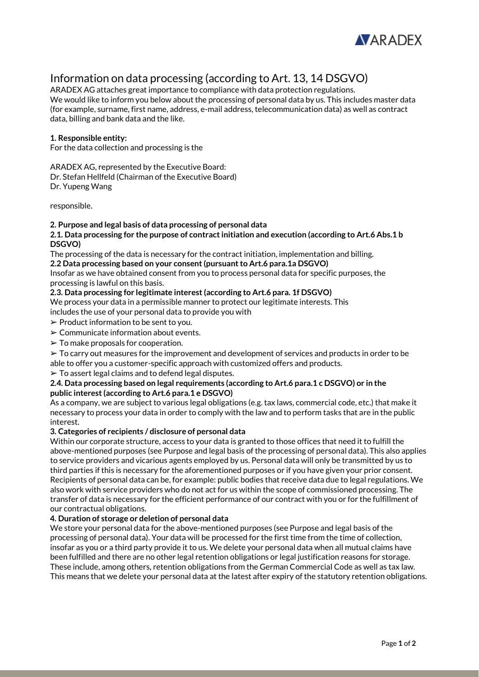

# Information on data processing (according to Art. 13, 14 DSGVO)

ARADEX AG attaches great importance to compliance with data protection regulations. We would like to inform you below about the processing of personal data by us. This includes master data (for example, surname, first name, address, e-mail address, telecommunication data) as well as contract data, billing and bank data and the like.

# **1. Responsible entity:**

For the data collection and processing is the

ARADEX AG, represented by the Executive Board:

Dr. Stefan Hellfeld (Chairman of the Executive Board) Dr. Yupeng Wang

responsible.

## **2. Purpose and legal basis of data processing of personal data**

### **2.1. Data processing for the purpose of contract initiation and execution (according to Art.6 Abs.1 b DSGVO)**

The processing of the data is necessary for the contract initiation, implementation and billing.

**2.2 Data processing based on your consent (pursuant to Art.6 para.1a DSGVO)**

Insofar as we have obtained consent from you to process personal data for specific purposes, the processing is lawful on this basis.

## **2.3. Data processing for legitimate interest (according to Art.6 para. 1f DSGVO)**

We process your data in a permissible manner to protect our legitimate interests. This includes the use of your personal data to provide you with

- ➢ Product information to be sent to you.
- $\triangleright$  Communicate information about events.
- $\geq$  To make proposals for cooperation.

 $\geq$  To carry out measures for the improvement and development of services and products in order to be able to offer you a customer-specific approach with customized offers and products.

 $\triangleright$  To assert legal claims and to defend legal disputes.

## **2.4. Data processing based on legal requirements (according to Art.6 para.1 c DSGVO) or in the public interest (according to Art.6 para.1 e DSGVO)**

As a company, we are subject to various legal obligations (e.g. tax laws, commercial code, etc.) that make it necessary to process your data in order to comply with the law and to perform tasks that are in the public interest.

#### **3. Categories of recipients / disclosure of personal data**

Within our corporate structure, access to your data is granted to those offices that need it to fulfill the above-mentioned purposes (see Purpose and legal basis of the processing of personal data). This also applies to service providers and vicarious agents employed by us. Personal data will only be transmitted by us to third parties if this is necessary for the aforementioned purposes or if you have given your prior consent. Recipients of personal data can be, for example: public bodies that receive data due to legal regulations. We also work with service providers who do not act for us within the scope of commissioned processing. The transfer of data is necessary for the efficient performance of our contract with you or for the fulfillment of our contractual obligations.

#### **4. Duration of storage or deletion of personal data**

We store your personal data for the above-mentioned purposes (see Purpose and legal basis of the processing of personal data). Your data will be processed for the first time from the time of collection, insofar as you or a third party provide it to us. We delete your personal data when all mutual claims have been fulfilled and there are no other legal retention obligations or legal justification reasons for storage. These include, among others, retention obligations from the German Commercial Code as well as tax law. This means that we delete your personal data at the latest after expiry of the statutory retention obligations.